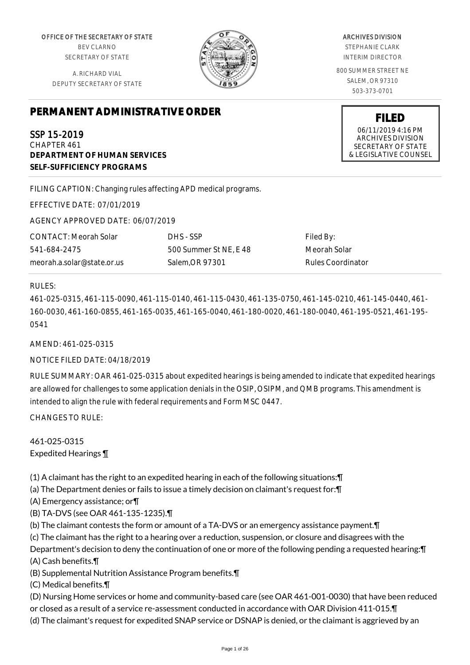OFFICE OF THE SECRETARY OF STATE BEV CLARNO SECRETARY OF STATE

A. RICHARD VIAL DEPUTY SECRETARY OF STATE

# **PERMANENT ADMINISTRATIVE ORDER**

SSP 15-2019 CHAPTER 461 **DEPARTMENT OF HUMAN SERVICES SELF-SUFFICIENCY PROGRAMS**

FILING CAPTION: Changing rules affecting APD medical programs.

EFFECTIVE DATE: 07/01/2019

AGENCY APPROVED DATE: 06/07/2019

CONTACT: Meorah Solar 541-684-2475 meorah.a.solar@state.or.us DHS - SSP 500 Summer St NE, E 48 Salem,OR 97301

Filed By: Meorah Solar Rules Coordinator

#### RULES:

461-025-0315, 461-115-0090, 461-115-0140, 461-115-0430, 461-135-0750, 461-145-0210, 461-145-0440, 461- 160-0030, 461-160-0855, 461-165-0035, 461-165-0040, 461-180-0020, 461-180-0040, 461-195-0521, 461-195- 0541

AMEND: 461-025-0315

# NOTICE FILED DATE: 04/18/2019

RULE SUMMARY: OAR 461-025-0315 about expedited hearings is being amended to indicate that expedited hearings are allowed for challenges to some application denials in the OSIP, OSIPM, and QMB programs. This amendment is intended to align the rule with federal requirements and Form MSC 0447.

CHANGES TO RULE:

461-025-0315 Expedited Hearings ¶

(1) A claimant has the right to an expedited hearing in each of the following situations:¶

(a) The Department denies or fails to issue a timely decision on claimant's request for:¶

(A) Emergency assistance; or¶

- (B) TA-DVS (see OAR 461-135-1235).¶
- (b) The claimant contests the form or amount of a TA-DVS or an emergency assistance payment.¶

(c) The claimant has the right to a hearing over a reduction, suspension, or closure and disagrees with the

Department's decision to deny the continuation of one or more of the following pending a requested hearing:¶ (A) Cash benefits.¶

(B) Supplemental Nutrition Assistance Program benefits.¶

(C) Medical benefits.¶

(D) Nursing Home services or home and community-based care (see OAR 461-001-0030) that have been reduced

or closed as a result of a service re-assessment conducted in accordance with OAR Division 411-015.¶

(d) The claimant's request for expedited SNAP service or DSNAP is denied, or the claimant is aggrieved by an

ARCHIVES DIVISION

STEPHANIE CLARK INTERIM DIRECTOR

800 SUMMER STREET NE SALEM, OR 97310 503-373-0701

> **FILED** 06/11/2019 4:16 PM ARCHIVES DIVISION SECRETARY OF STATE & LEGISLATIVE COUNSEL

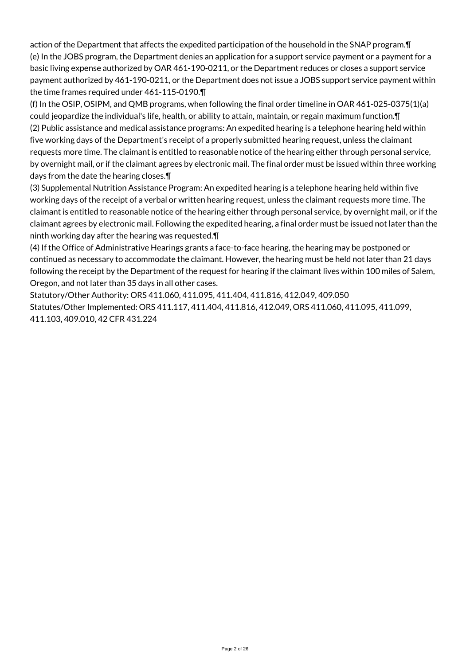action of the Department that affects the expedited participation of the household in the SNAP program.¶ (e) In the JOBS program, the Department denies an application for a support service payment or a payment for a basic living expense authorized by OAR 461-190-0211, or the Department reduces or closes a support service payment authorized by 461-190-0211, or the Department does not issue a JOBS support service payment within the time frames required under 461-115-0190.¶

(f) In the OSIP, OSIPM, and QMB programs, when following the final order timeline in OAR 461-025-0375(1)(a) could jeopardize the individual's life, health, or ability to attain, maintain, or regain maximum function. I

(2) Public assistance and medical assistance programs: An expedited hearing is a telephone hearing held within five working days of the Department's receipt of a properly submitted hearing request, unless the claimant requests more time. The claimant is entitled to reasonable notice of the hearing either through personal service, by overnight mail, or if the claimant agrees by electronic mail. The final order must be issued within three working days from the date the hearing closes.¶

(3) Supplemental Nutrition Assistance Program: An expedited hearing is a telephone hearing held within five working days of the receipt of a verbal or written hearing request, unless the claimant requests more time. The claimant is entitled to reasonable notice of the hearing either through personal service, by overnight mail, or if the claimant agrees by electronic mail. Following the expedited hearing, a final order must be issued not later than the ninth working day after the hearing was requested.¶

(4) If the Office of Administrative Hearings grants a face-to-face hearing, the hearing may be postponed or continued as necessary to accommodate the claimant. However, the hearing must be held not later than 21 days following the receipt by the Department of the request for hearing if the claimant lives within 100 miles of Salem, Oregon, and not later than 35 days in all other cases.

Statutory/Other Authority: ORS 411.060, 411.095, 411.404, 411.816, 412.049, 409.050 Statutes/Other Implemented: ORS 411.117, 411.404, 411.816, 412.049, ORS 411.060, 411.095, 411.099, 411.103, 409.010, 42 CFR 431.224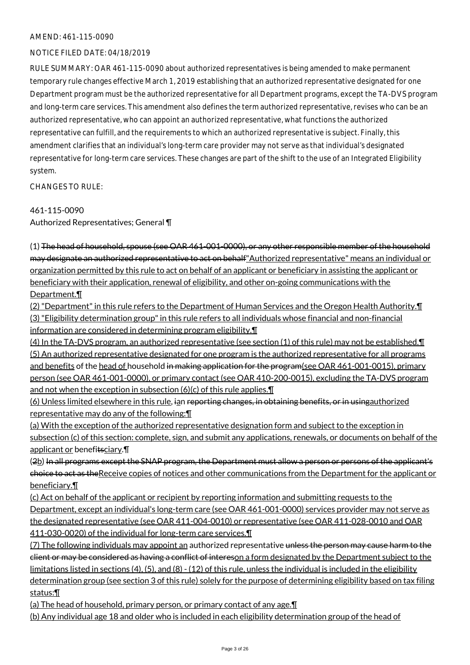#### AMEND: 461-115-0090

#### NOTICE FILED DATE: 04/18/2019

RULE SUMMARY: OAR 461-115-0090 about authorized representatives is being amended to make permanent temporary rule changes effective March 1, 2019 establishing that an authorized representative designated for one Department program must be the authorized representative for all Department programs, except the TA-DVS program and long-term care services. This amendment also defines the term authorized representative, revises who can be an authorized representative, who can appoint an authorized representative, what functions the authorized representative can fulfill, and the requirements to which an authorized representative is subject. Finally, this amendment clarifies that an individual's long-term care provider may not serve as that individual's designated representative for long-term care services. These changes are part of the shift to the use of an Integrated Eligibility system.

CHANGES TO RULE:

#### 461-115-0090

Authorized Representatives; General ¶

(1) The head of household, spouse (see OAR 461-001-0000), or any other responsible member of the household may designate an authorized representative to act on behalf"Authorized representative" means an individual or organization permitted by this rule to act on behalf of an applicant or beneficiary in assisting the applicant or beneficiary with their application, renewal of eligibility, and other on-going communications with the Department.¶

(2) "Department" in this rule refers to the Department of Human Services and the Oregon Health Authority.¶ (3) "Eligibility determination group" in this rule refers to all individuals whose financial and non-financial information are considered in determining program eligibility.¶

(4) In the TA-DVS program, an authorized representative (see section (1) of this rule) may not be established.¶ (5) An authorized representative designated for one program is the authorized representative for all programs and benefits of the head of household in making application for the program(see OAR 461-001-0015), primary person (see OAR 461-001-0000), or primary contact (see OAR 410-200-0015), excluding the TA-DVS program and not when the exception in subsection (6)(c) of this rule applies.¶

(6) Unless limited elsewhere in this rule, ian reporting changes, in obtaining benefits, or in usingauthorized representative may do any of the following:¶

(a) With the exception of the authorized representative designation form and subject to the exception in subsection (c) of this section: complete, sign, and submit any applications, renewals, or documents on behalf of the applicant or benefitsciary.¶

(2b) In all programs except the SNAP program, the Department must allow a person or persons of the applicant's choice to act as theReceive copies of notices and other communications from the Department for the applicant or beneficiary.¶

(c) Act on behalf of the applicant or recipient by reporting information and submitting requests to the Department, except an individual's long-term care (see OAR 461-001-0000) services provider may not serve as the designated representative (see OAR 411-004-0010) or representative (see OAR 411-028-0010 and OAR 411-030-0020) of the individual for long-term care services.¶

(7) The following individuals may appoint an authorized representative unless the person may cause harm to the client or may be considered as having a conflict of intereson a form designated by the Department subject to the limitations listed in sections (4), (5), and (8) - (12) of this rule, unless the individual is included in the eligibility determination group (see section 3 of this rule) solely for the purpose of determining eligibility based on tax filing status:¶

(a) The head of household, primary person, or primary contact of any age.¶ (b) Any individual age 18 and older who is included in each eligibility determination group of the head of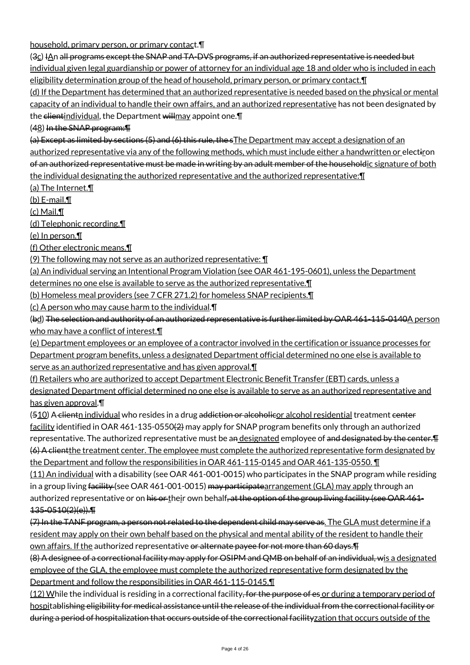household, primary person, or primary contact.¶

(3c) IAn all programs except the SNAP and TA-DVS programs, if an authorized representative is needed but individual given legal guardianship or power of attorney for an individual age 18 and older who is included in each eligibility determination group of the head of household, primary person, or primary contact. I

(d) If the Department has determined that an authorized representative is needed based on the physical or mental capacity of an individual to handle their own affairs, and an authorized representative has not been designated by the clientindividual, the Department willmay appoint one. T

(48) In the SNAP program:¶

(a) Except as limited by sections (5) and (6) this rule, the sThe Department may accept a designation of an authorized representative via any of the following methods, which must include either a handwritten or electiron of an authorized representative must be made in writing by an adult member of the householdic signature of both the individual designating the authorized representative and the authorized representative:¶

(a) The Internet.¶

 $(b)$  E-mail. $\P$ 

(c) Mail.¶

(d) Telephonic recording.¶

(e) In person.¶

(f) Other electronic means.¶

(9) The following may not serve as an authorized representative: ¶

(a) An individual serving an Intentional Program Violation (see OAR 461-195-0601), unless the Department

determines no one else is available to serve as the authorized representative.¶

(b) Homeless meal providers (see 7 CFR 271.2) for homeless SNAP recipients.¶

(c) A person who may cause harm to the individual.¶

(bd) The selection and authority of an authorized representative is further limited by OAR 461-115-0140A person who may have a conflict of interest.¶

(e) Department employees or an employee of a contractor involved in the certification or issuance processes for Department program benefits, unless a designated Department official determined no one else is available to serve as an authorized representative and has given approval.

(f) Retailers who are authorized to accept Department Electronic Benefit Transfer (EBT) cards, unless a designated Department official determined no one else is available to serve as an authorized representative and has given approval.¶

(510) A clientn individual who resides in a drug addiction or alcoholicor alcohol residential treatment center facility identified in OAR 461-135-0550(2) may apply for SNAP program benefits only through an authorized representative. The authorized representative must be an designated employee of and designated by the center. (6) A clientthe treatment center. The employee must complete the authorized representative form designated by the Department and follow the responsibilities in OAR 461-115-0145 and OAR 461-135-0550. ¶

(11) An individual with a disability (see OAR 461-001-0015) who participates in the SNAP program while residing in a group living facility (see OAR 461-001-0015) may participatearrangement (GLA) may apply through an authorized representative or on his or their own behalf, at the option of the group living facility (see OAR 461-135-0510(2)(e)).¶

(7) In the TANF program, a person not related to the dependent child may serve as. The GLA must determine if a resident may apply on their own behalf based on the physical and mental ability of the resident to handle their own affairs. If the authorized representative or alternate payee for not more than 60 days.¶

(8) A designee of a correctional facility may apply for OSIPM and QMB on behalf of an individual, wis a designated employee of the GLA, the employee must complete the authorized representative form designated by the Department and follow the responsibilities in OAR 461-115-0145.¶

(12) While the individual is residing in a correctional facility, for the purpose of es or during a temporary period of hospitablishing eligibility for medical assistance until the release of the individual from the correctional facility or during a period of hospitalization that occurs outside of the correctional facilityzation that occurs outside of the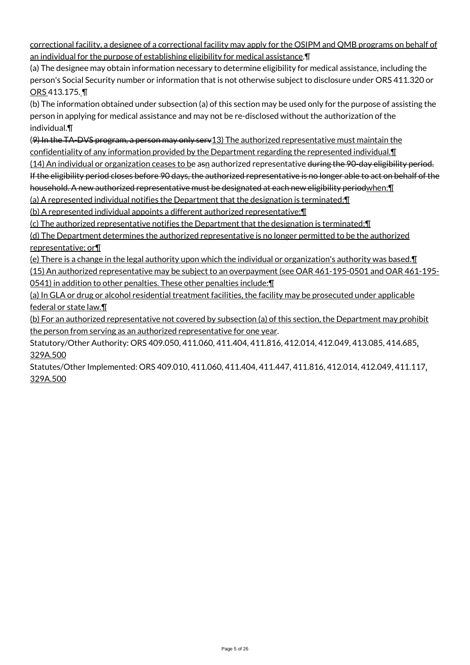correctional facility, a designee of a correctional facility may apply for the OSIPM and QMB programs on behalf of an individual for the purpose of establishing eligibility for medical assistance.¶

(a) The designee may obtain information necessary to determine eligibility for medical assistance, including the person's Social Security number or information that is not otherwise subject to disclosure under ORS 411.320 or ORS 413.175. ¶

(b) The information obtained under subsection (a) of this section may be used only for the purpose of assisting the person in applying for medical assistance and may not be re-disclosed without the authorization of the individual.¶

(9) In the TA-DVS program, a person may only serv13) The authorized representative must maintain the confidentiality of any information provided by the Department regarding the represented individual.¶

(14) An individual or organization ceases to be asn authorized representative during the 90-day eligibility period. If the eligibility period closes before 90 days, the authorized representative is no longer able to act on behalf of the household. A new authorized representative must be designated at each new eligibility periodwhen:¶

(a) A represented individual notifies the Department that the designation is terminated;¶

(b) A represented individual appoints a different authorized representative;¶

(c) The authorized representative notifies the Department that the designation is terminated;¶

(d) The Department determines the authorized representative is no longer permitted to be the authorized representative; or¶

(e) There is a change in the legal authority upon which the individual or organization's authority was based.¶ (15) An authorized representative may be subject to an overpayment (see OAR 461-195-0501 and OAR 461-195- 0541) in addition to other penalties. These other penalties include:¶

(a) In GLA or drug or alcohol residential treatment facilities, the facility may be prosecuted under applicable federal or state law.¶

(b) For an authorized representative not covered by subsection (a) of this section, the Department may prohibit the person from serving as an authorized representative for one year.

Statutory/Other Authority: ORS 409.050, 411.060, 411.404, 411.816, 412.014, 412.049, 413.085, 414.685, 329A.500

Statutes/Other Implemented: ORS 409.010, 411.060, 411.404, 411.447, 411.816, 412.014, 412.049, 411.117, 329A.500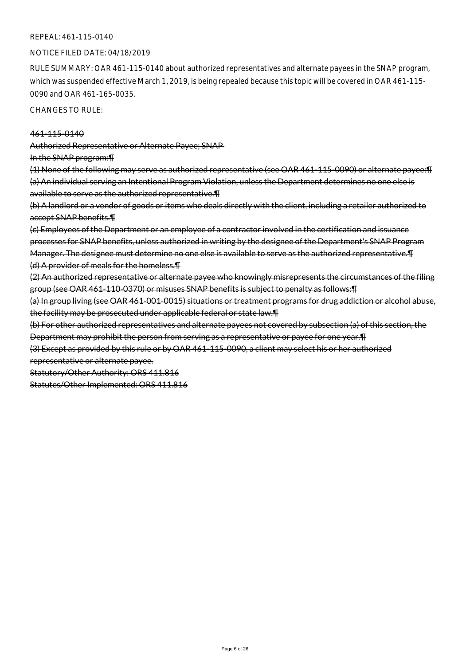#### REPEAL: 461-115-0140

#### NOTICE FILED DATE: 04/18/2019

RULE SUMMARY: OAR 461-115-0140 about authorized representatives and alternate payees in the SNAP program, which was suspended effective March 1, 2019, is being repealed because this topic will be covered in OAR 461-115- 0090 and OAR 461-165-0035.

CHANGES TO RULE:

#### 461-115-0140

Authorized Representative or Alternate Payee; SNAP

In the SNAP program:¶

(1) None of the following may serve as authorized representative (see OAR 461-115-0090) or alternate payee:¶ (a) An individual serving an Intentional Program Violation, unless the Department determines no one else is available to serve as the authorized representative.¶

(b) A landlord or a vendor of goods or items who deals directly with the client, including a retailer authorized to accept SNAP benefits.¶

(c) Employees of the Department or an employee of a contractor involved in the certification and issuance processes for SNAP benefits, unless authorized in writing by the designee of the Department's SNAP Program Manager. The designee must determine no one else is available to serve as the authorized representative.¶ (d) A provider of meals for the homeless.¶

(2) An authorized representative or alternate payee who knowingly misrepresents the circumstances of the filing group (see OAR 461-110-0370) or misuses SNAP benefits is subject to penalty as follows:¶

(a) In group living (see OAR 461-001-0015) situations or treatment programs for drug addiction or alcohol abuse, the facility may be prosecuted under applicable federal or state law.¶

(b) For other authorized representatives and alternate payees not covered by subsection (a) of this section, the Department may prohibit the person from serving as a representative or payee for one year.¶

(3) Except as provided by this rule or by OAR 461-115-0090, a client may select his or her authorized

representative or alternate payee.

Statutory/Other Authority: ORS 411.816

Statutes/Other Implemented: ORS 411.816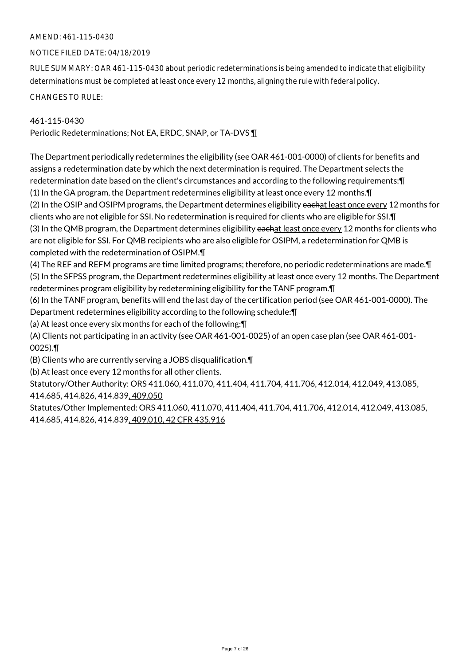## AMEND: 461-115-0430

#### NOTICE FILED DATE: 04/18/2019

RULE SUMMARY: OAR 461-115-0430 about periodic redeterminations is being amended to indicate that eligibility determinations must be completed at least once every 12 months, aligning the rule with federal policy.

CHANGES TO RULE:

#### 461-115-0430

Periodic Redeterminations; Not EA, ERDC, SNAP, or TA-DVS ¶

The Department periodically redetermines the eligibility (see OAR 461-001-0000) of clients for benefits and assigns a redetermination date by which the next determination is required. The Department selects the redetermination date based on the client's circumstances and according to the following requirements:¶ (1) In the GA program, the Department redetermines eligibility at least once every 12 months.¶ (2) In the OSIP and OSIPM programs, the Department determines eligibility eachat least once every 12 months for clients who are not eligible for SSI. No redetermination is required for clients who are eligible for SSI.¶ (3) In the QMB program, the Department determines eligibility eachat least once every 12 months for clients who are not eligible for SSI. For QMB recipients who are also eligible for OSIPM, a redetermination for QMB is completed with the redetermination of OSIPM.¶

(4) The REF and REFM programs are time limited programs; therefore, no periodic redeterminations are made.¶ (5) In the SFPSS program, the Department redetermines eligibility at least once every 12 months. The Department redetermines program eligibility by redetermining eligibility for the TANF program.¶

(6) In the TANF program, benefits will end the last day of the certification period (see OAR 461-001-0000). The Department redetermines eligibility according to the following schedule:¶

(a) At least once every six months for each of the following:¶

(A) Clients not participating in an activity (see OAR 461-001-0025) of an open case plan (see OAR 461-001- 0025).¶

(B) Clients who are currently serving a JOBS disqualification.¶

(b) At least once every 12 months for all other clients.

Statutory/Other Authority: ORS 411.060, 411.070, 411.404, 411.704, 411.706, 412.014, 412.049, 413.085, 414.685, 414.826, 414.839, 409.050

Statutes/Other Implemented: ORS 411.060, 411.070, 411.404, 411.704, 411.706, 412.014, 412.049, 413.085, 414.685, 414.826, 414.839, 409.010, 42 CFR 435.916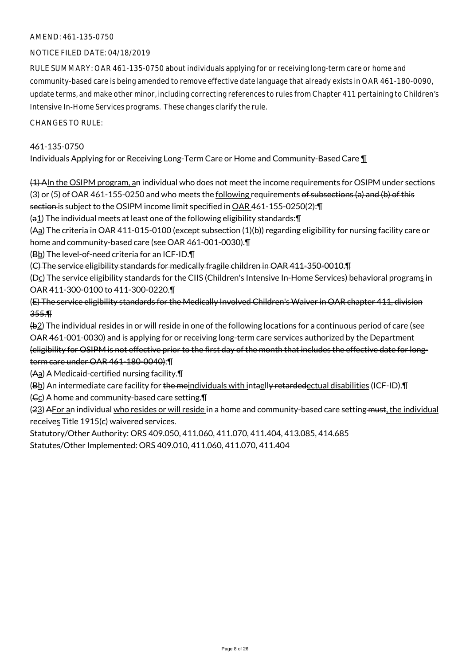## AMEND: 461-135-0750

## NOTICE FILED DATE: 04/18/2019

RULE SUMMARY: OAR 461-135-0750 about individuals applying for or receiving long-term care or home and community-based care is being amended to remove effective date language that already exists in OAR 461-180-0090, update terms, and make other minor, including correcting references to rules from Chapter 411 pertaining to Children's Intensive In-Home Services programs. These changes clarify the rule.

#### CHANGES TO RULE:

## 461-135-0750

Individuals Applying for or Receiving Long-Term Care or Home and Community-Based Care ¶

(1) AIn the OSIPM program, an individual who does not meet the income requirements for OSIPM under sections (3) or (5) of OAR 461-155-0250 and who meets the following requirements of subsections (a) and (b) of this section is subject to the OSIPM income limit specified in OAR 461-155-0250(2):¶

 $(a_1)$  The individual meets at least one of the following eligibility standards: $\P$ 

(Aa) The criteria in OAR 411-015-0100 (except subsection (1)(b)) regarding eligibility for nursing facility care or home and community-based care (see OAR 461-001-0030).¶

 $(BD)$  The level-of-need criteria for an ICF-ID. $\P$ 

(C) The service eligibility standards for medically fragile children in OAR 411-350-0010.¶

(Dc) The service eligibility standards for the CIIS (Children's Intensive In-Home Services) behavioral programs in OAR 411-300-0100 to 411-300-0220.¶

(E) The service eligibility standards for the Medically Involved Children's Waiver in OAR chapter 411, division 355.¶

(b2) The individual resides in or will reside in one of the following locations for a continuous period of care (see OAR 461-001-0030) and is applying for or receiving long-term care services authorized by the Department

(eligibility for OSIPM is not effective prior to the first day of the month that includes the effective date for longterm care under OAR 461-180-0040):¶

(Aa) A Medicaid-certified nursing facility.¶

(Bb) An intermediate care facility for the meindividuals with intaelly retardedectual disabilities (ICF-ID). T

 $(6)$  A home and community-based care setting.  $\P$ 

(23) AFor an individual who resides or will reside in a home and community-based care setting must, the individual receives Title 1915(c) waivered services.

Statutory/Other Authority: ORS 409.050, 411.060, 411.070, 411.404, 413.085, 414.685

Statutes/Other Implemented: ORS 409.010, 411.060, 411.070, 411.404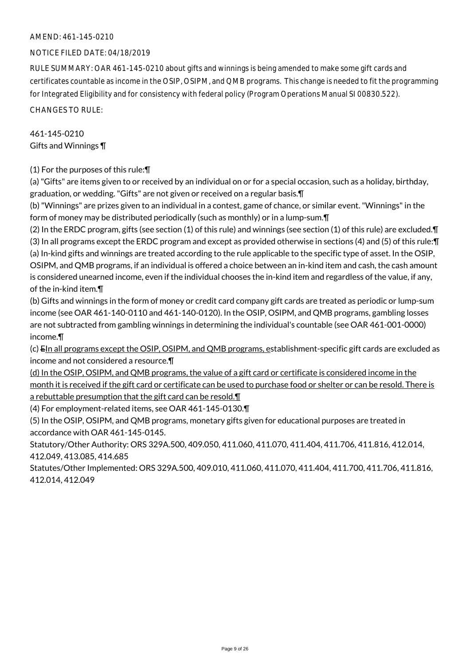## AMEND: 461-145-0210

## NOTICE FILED DATE: 04/18/2019

RULE SUMMARY: OAR 461-145-0210 about gifts and winnings is being amended to make some gift cards and certificates countable as income in the OSIP, OSIPM, and QMB programs. This change is needed to fit the programming for Integrated Eligibility and for consistency with federal policy (Program Operations Manual SI 00830.522).

CHANGES TO RULE:

# 461-145-0210 Gifts and Winnings ¶

# (1) For the purposes of this rule:¶

(a) "Gifts" are items given to or received by an individual on or for a special occasion, such as a holiday, birthday, graduation, or wedding. "Gifts" are not given or received on a regular basis.¶

(b) "Winnings" are prizes given to an individual in a contest, game of chance, or similar event. "Winnings" in the form of money may be distributed periodically (such as monthly) or in a lump-sum.¶

(2) In the ERDC program, gifts (see section (1) of this rule) and winnings (see section (1) of this rule) are excluded.¶ (3) In all programs except the ERDC program and except as provided otherwise in sections (4) and (5) of this rule:¶ (a) In-kind gifts and winnings are treated according to the rule applicable to the specific type of asset. In the OSIP, OSIPM, and QMB programs, if an individual is offered a choice between an in-kind item and cash, the cash amount is considered unearned income, even if the individual chooses the in-kind item and regardless of the value, if any, of the in-kind item.¶

(b) Gifts and winnings in the form of money or credit card company gift cards are treated as periodic or lump-sum income (see OAR 461-140-0110 and 461-140-0120). In the OSIP, OSIPM, and QMB programs, gambling losses are not subtracted from gambling winnings in determining the individual's countable (see OAR 461-001-0000) income.¶

(c) EIn all programs except the OSIP, OSIPM, and QMB programs, establishment-specific gift cards are excluded as income and not considered a resource.¶

(d) In the OSIP, OSIPM, and QMB programs, the value of a gift card or certificate is considered income in the month it is received if the gift card or certificate can be used to purchase food or shelter or can be resold. There is a rebuttable presumption that the gift card can be resold.¶

(4) For employment-related items, see OAR 461-145-0130.¶

(5) In the OSIP, OSIPM, and QMB programs, monetary gifts given for educational purposes are treated in accordance with OAR 461-145-0145.

Statutory/Other Authority: ORS 329A.500, 409.050, 411.060, 411.070, 411.404, 411.706, 411.816, 412.014, 412.049, 413.085, 414.685

Statutes/Other Implemented: ORS 329A.500, 409.010, 411.060, 411.070, 411.404, 411.700, 411.706, 411.816, 412.014, 412.049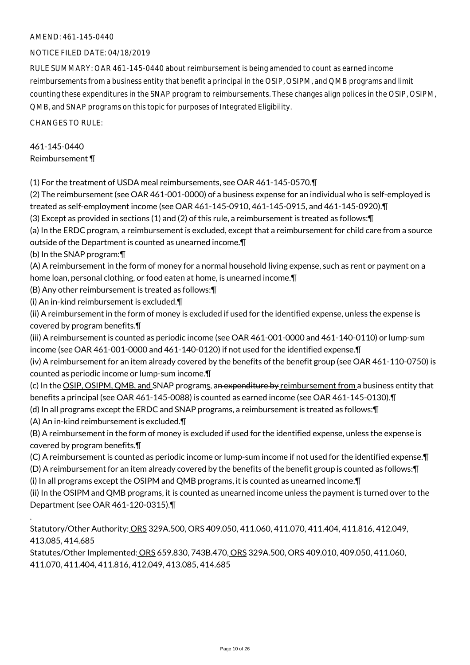## AMEND: 461-145-0440

## NOTICE FILED DATE: 04/18/2019

RULE SUMMARY: OAR 461-145-0440 about reimbursement is being amended to count as earned income reimbursements from a business entity that benefit a principal in the OSIP, OSIPM, and QMB programs and limit counting these expenditures in the SNAP program to reimbursements. These changes align polices in the OSIP, OSIPM, QMB, and SNAP programs on this topic for purposes of Integrated Eligibility.

CHANGES TO RULE:

# 461-145-0440 Reimbursement ¶

(1) For the treatment of USDA meal reimbursements, see OAR 461-145-0570.¶

(2) The reimbursement (see OAR 461-001-0000) of a business expense for an individual who is self-employed is treated as self-employment income (see OAR 461-145-0910, 461-145-0915, and 461-145-0920).¶

(3) Except as provided in sections (1) and (2) of this rule, a reimbursement is treated as follows:¶

(a) In the ERDC program, a reimbursement is excluded, except that a reimbursement for child care from a source outside of the Department is counted as unearned income.¶

(b) In the SNAP program:¶

(A) A reimbursement in the form of money for a normal household living expense, such as rent or payment on a home loan, personal clothing, or food eaten at home, is unearned income.¶

(B) Any other reimbursement is treated as follows:¶

(i) An in-kind reimbursement is excluded.¶

(ii) A reimbursement in the form of money is excluded if used for the identified expense, unless the expense is covered by program benefits.¶

(iii) A reimbursement is counted as periodic income (see OAR 461-001-0000 and 461-140-0110) or lump-sum income (see OAR 461-001-0000 and 461-140-0120) if not used for the identified expense.¶

(iv) A reimbursement for an item already covered by the benefits of the benefit group (see OAR 461-110-0750) is counted as periodic income or lump-sum income.¶

(c) In the OSIP, OSIPM, QMB, and SNAP programs, an expenditure by reimbursement from a business entity that benefits a principal (see OAR 461-145-0088) is counted as earned income (see OAR 461-145-0130).¶

(d) In all programs except the ERDC and SNAP programs, a reimbursement is treated as follows:¶

(A) An in-kind reimbursement is excluded.¶

.

(B) A reimbursement in the form of money is excluded if used for the identified expense, unless the expense is covered by program benefits.¶

(C) A reimbursement is counted as periodic income or lump-sum income if not used for the identified expense.¶

(D) A reimbursement for an item already covered by the benefits of the benefit group is counted as follows:¶

(i) In all programs except the OSIPM and QMB programs, it is counted as unearned income.¶

(ii) In the OSIPM and QMB programs, it is counted as unearned income unless the payment is turned over to the Department (see OAR 461-120-0315).¶

Statutory/Other Authority: ORS 329A.500, ORS 409.050, 411.060, 411.070, 411.404, 411.816, 412.049, 413.085, 414.685

Statutes/Other Implemented: ORS 659.830, 743B.470, ORS 329A.500, ORS 409.010, 409.050, 411.060, 411.070, 411.404, 411.816, 412.049, 413.085, 414.685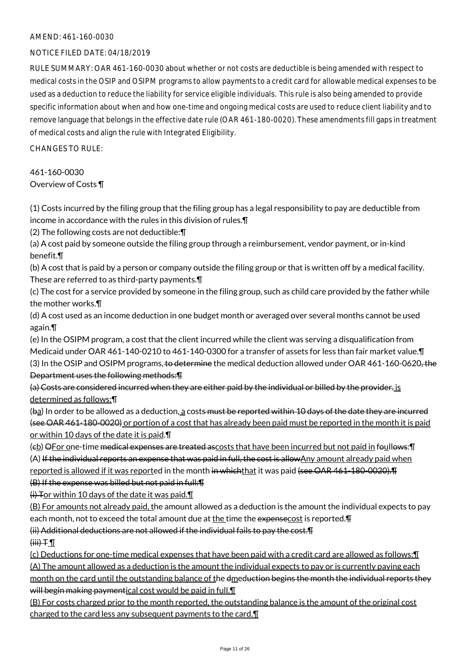## AMEND: 461-160-0030

## NOTICE FILED DATE: 04/18/2019

RULE SUMMARY: OAR 461-160-0030 about whether or not costs are deductible is being amended with respect to medical costs in the OSIP and OSIPM programs to allow payments to a credit card for allowable medical expenses to be used as a deduction to reduce the liability for service eligible individuals. This rule is also being amended to provide specific information about when and how one-time and ongoing medical costs are used to reduce client liability and to remove language that belongs in the effective date rule (OAR 461-180-0020). These amendments fill gaps in treatment of medical costs and align the rule with Integrated Eligibility.

CHANGES TO RULE:

461-160-0030 Overview of Costs ¶

(1) Costs incurred by the filing group that the filing group has a legal responsibility to pay are deductible from income in accordance with the rules in this division of rules.¶

(2) The following costs are not deductible:¶

(a) A cost paid by someone outside the filing group through a reimbursement, vendor payment, or in-kind benefit.¶

(b) A cost that is paid by a person or company outside the filing group or that is written off by a medical facility. These are referred to as third-party payments.¶

(c) The cost for a service provided by someone in the filing group, such as child care provided by the father while the mother works.¶

(d) A cost used as an income deduction in one budget month or averaged over several months cannot be used again.¶

(e) In the OSIPM program, a cost that the client incurred while the client was serving a disqualification from Medicaid under OAR 461-140-0210 to 461-140-0300 for a transfer of assets for less than fair market value.¶ (3) In the OSIP and OSIPM programs, to determine the medical deduction allowed under OAR 461-160-0620, the Department uses the following methods:¶

(a) Costs are considered incurred when they are either paid by the individual or billed by the provider. is determined as follows:¶

(ba) In order to be allowed as a deduction, a costs must be reported within 10 days of the date they are incurred (see OAR 461-180-0020) or portion of a cost that has already been paid must be reported in the month it is paid or within 10 days of the date it is paid.¶

(cb) OFor one-time medical expenses are treated ascosts that have been incurred but not paid in foullows:¶ (A) If the individual reports an expense that was paid in full, the cost is allowAny amount already paid when reported is allowed if it was reported in the month in whichthat it was paid (see OAR 461-180-0020).

(B) If the expense was billed but not paid in full:¶

 $(i)$  Tor within 10 days of the date it was paid. $\P$ 

(B) For amounts not already paid, the amount allowed as a deduction is the amount the individual expects to pay each month, not to exceed the total amount due at the time the expensecost is reported.  $\text{F}$ 

(ii) Additional deductions are not allowed if the individual fails to pay the cost.¶

 $(iii)$  T

(c) Deductions for one-time medical expenses that have been paid with a credit card are allowed as follows:¶ (A) The amount allowed as a deduction is the amount the individual expects to pay or is currently paying each month on the card until the outstanding balance of the dmeduction begins the month the individual reports they will begin making paymentical cost would be paid in full.

(B) For costs charged prior to the month reported, the outstanding balance is the amount of the original cost charged to the card less any subsequent payments to the card. I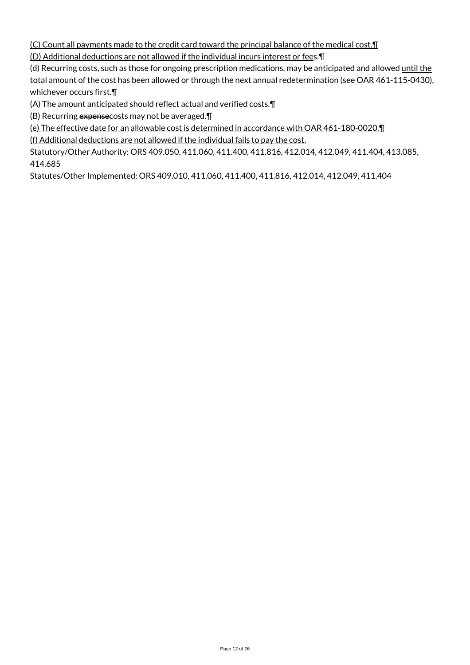(C) Count all payments made to the credit card toward the principal balance of the medical cost.¶

(D) Additional deductions are not allowed if the individual incurs interest or fees.¶

(d) Recurring costs, such as those for ongoing prescription medications, may be anticipated and allowed until the total amount of the cost has been allowed or through the next annual redetermination (see OAR 461-115-0430), whichever occurs first.¶

(A) The amount anticipated should reflect actual and verified costs.¶

(B) Recurring  $expense\csc$ s may not be averaged. $\P$ 

(e) The effective date for an allowable cost is determined in accordance with OAR 461-180-0020.¶

(f) Additional deductions are not allowed if the individual fails to pay the cost.

Statutory/Other Authority: ORS 409.050, 411.060, 411.400, 411.816, 412.014, 412.049, 411.404, 413.085, 414.685

Statutes/Other Implemented: ORS 409.010, 411.060, 411.400, 411.816, 412.014, 412.049, 411.404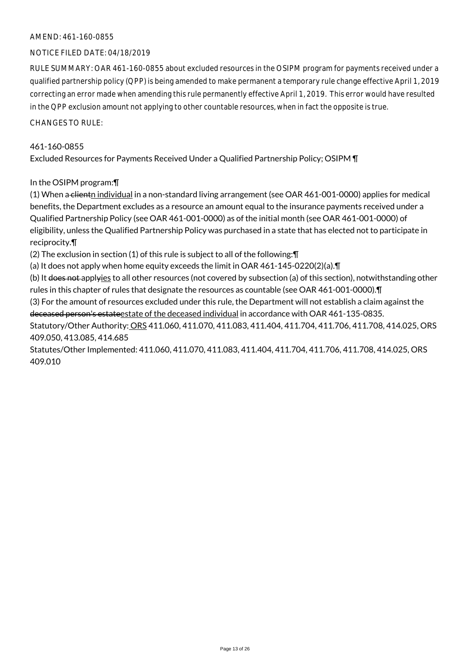## AMEND: 461-160-0855

## NOTICE FILED DATE: 04/18/2019

RULE SUMMARY: OAR 461-160-0855 about excluded resources in the OSIPM program for payments received under a qualified partnership policy (QPP) is being amended to make permanent a temporary rule change effective April 1, 2019 correcting an error made when amending this rule permanently effective April 1, 2019. This error would have resulted in the QPP exclusion amount not applying to other countable resources, when in fact the opposite is true.

CHANGES TO RULE:

#### 461-160-0855

Excluded Resources for Payments Received Under a Qualified Partnership Policy; OSIPM ¶

#### In the OSIPM program:¶

(1) When a clientn individual in a non-standard living arrangement (see OAR 461-001-0000) applies for medical benefits, the Department excludes as a resource an amount equal to the insurance payments received under a Qualified Partnership Policy (see OAR 461-001-0000) as of the initial month (see OAR 461-001-0000) of eligibility, unless the Qualified Partnership Policy was purchased in a state that has elected not to participate in reciprocity.¶

(2) The exclusion in section (1) of this rule is subject to all of the following:¶

(a) It does not apply when home equity exceeds the limit in OAR  $461-145-0220(2)(a)$ . T

(b) It does not applyies to all other resources (not covered by subsection (a) of this section), notwithstanding other rules in this chapter of rules that designate the resources as countable (see OAR 461-001-0000).¶

(3) For the amount of resources excluded under this rule, the Department will not establish a claim against the deceased person's estateestate of the deceased individual in accordance with OAR 461-135-0835.

Statutory/Other Authority: ORS 411.060, 411.070, 411.083, 411.404, 411.704, 411.706, 411.708, 414.025, ORS 409.050, 413.085, 414.685

Statutes/Other Implemented: 411.060, 411.070, 411.083, 411.404, 411.704, 411.706, 411.708, 414.025, ORS 409.010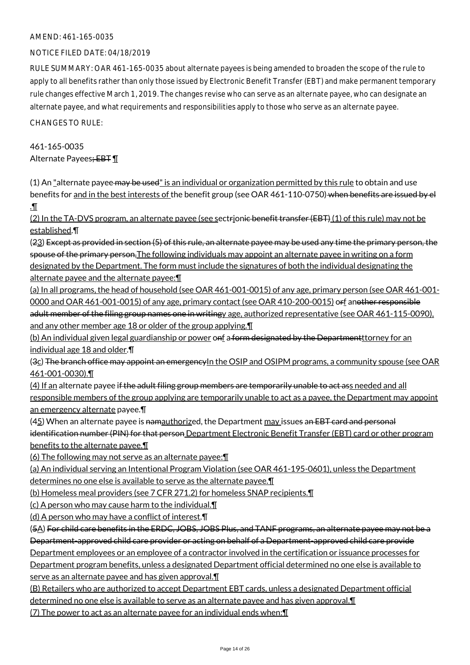#### AMEND: 461-165-0035

## NOTICE FILED DATE: 04/18/2019

RULE SUMMARY: OAR 461-165-0035 about alternate payees is being amended to broaden the scope of the rule to apply to all benefits rather than only those issued by Electronic Benefit Transfer (EBT) and make permanent temporary rule changes effective March 1, 2019. The changes revise who can serve as an alternate payee, who can designate an alternate payee, and what requirements and responsibilities apply to those who serve as an alternate payee.

CHANGES TO RULE:

# 461-165-0035 Alternate Payees; EBT 1

(1) An "alternate payee may be used" is an individual or organization permitted by this rule to obtain and use benefits for and in the best interests of the benefit group (see OAR 461-110-0750) when benefits are issued by el .¶

 $(2)$  In the TA-DVS program, an alternate payee (see sectrionic benefit transfer (EBT)  $(1)$  of this rule) may not be established.¶

(23) Except as provided in section (5) of this rule, an alternate payee may be used any time the primary person, the spouse of the primary person, The following individuals may appoint an alternate payee in writing on a form designated by the Department. The form must include the signatures of both the individual designating the alternate payee and the alternate payee:¶

(a) In all programs, the head of household (see OAR 461-001-0015) of any age, primary person (see OAR 461-001- 0000 and OAR 461-001-0015) of any age, primary contact (see OAR 410-200-0015) orf another responsible

adult member of the filing group names one in writingy age, authorized representative (see OAR 461-115-0090), and any other member age 18 or older of the group applying.¶

(b) An individual given legal guardianship or power onf a form designated by the Departmentttorney for an individual age 18 and older.¶

(3c) The branch office may appoint an emergency In the OSIP and OSIPM programs, a community spouse (see OAR 461-001-0030).¶

(4) If an alternate payee i<del>f the adult filing group members are temporarily unable to act as</del>s needed and all responsible members of the group applying are temporarily unable to act as a payee, the Department may appoint an emergency alternate payee.¶

 $(45)$  When an alternate payee is namauthorized, the Department  $\frac{may}{may}$  issues an EBT card and personal identification number (PIN) for that person Department Electronic Benefit Transfer (EBT) card or other program benefits to the alternate payee.¶

(6) The following may not serve as an alternate payee:¶

(a) An individual serving an Intentional Program Violation (see OAR 461-195-0601), unless the Department determines no one else is available to serve as the alternate payee.¶

(b) Homeless meal providers (see 7 CFR 271.2) for homeless SNAP recipients.¶

(c) A person who may cause harm to the individual.¶

(d) A person who may have a conflict of interest.¶

(5A) For child care benefits in the ERDC, JOBS, JOBS Plus, and TANF programs, an alternate payee may not be a Department-approved child care provider or acting on behalf of a Department-approved child care provide

Department employees or an employee of a contractor involved in the certification or issuance processes for

Department program benefits, unless a designated Department official determined no one else is available to serve as an alternate payee and has given approval.¶

(B) Retailers who are authorized to accept Department EBT cards, unless a designated Department official

determined no one else is available to serve as an alternate payee and has given approval.¶

(7) The power to act as an alternate payee for an individual ends when:¶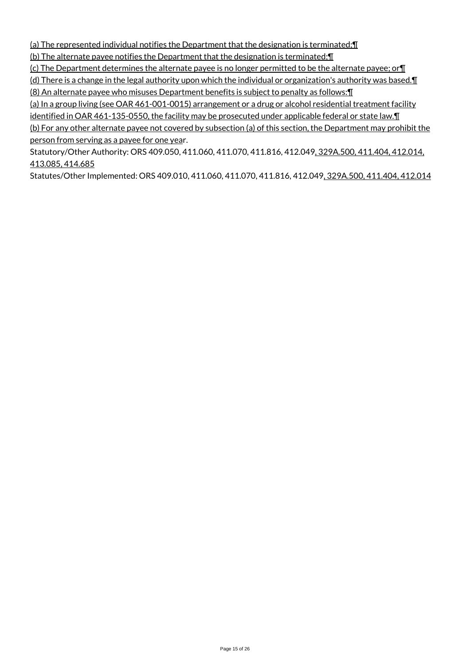(a) The represented individual notifies the Department that the designation is terminated;¶

(b) The alternate payee notifies the Department that the designation is terminated;¶

(c) The Department determines the alternate payee is no longer permitted to be the alternate payee; or¶

(d) There is a change in the legal authority upon which the individual or organization's authority was based.¶ (8) An alternate payee who misuses Department benefits is subject to penalty as follows:¶

(a) In a group living (see OAR 461-001-0015) arrangement or a drug or alcohol residential treatment facility identified in OAR 461-135-0550, the facility may be prosecuted under applicable federal or state law. I

(b) For any other alternate payee not covered by subsection (a) of this section, the Department may prohibit the person from serving as a payee for one year.

Statutory/Other Authority: ORS 409.050, 411.060, 411.070, 411.816, 412.049, 329A.500, 411.404, 412.014, 413.085, 414.685

Statutes/Other Implemented: ORS 409.010, 411.060, 411.070, 411.816, 412.049, 329A.500, 411.404, 412.014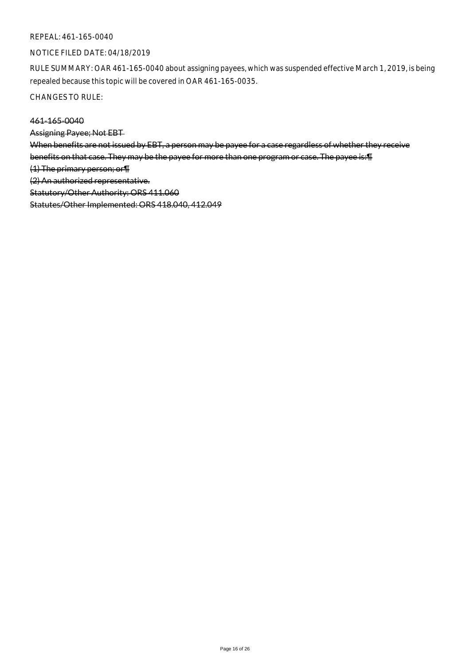#### REPEAL: 461-165-0040

#### NOTICE FILED DATE: 04/18/2019

RULE SUMMARY: OAR 461-165-0040 about assigning payees, which was suspended effective March 1, 2019, is being repealed because this topic will be covered in OAR 461-165-0035.

CHANGES TO RULE:

# 461-165-0040

Assigning Payee; Not EBT

When benefits are not issued by EBT, a person may be payee for a case regardless of whether they receive

benefits on that case. They may be the payee for more than one program or case. The payee is:¶

(1) The primary person; or¶

(2) An authorized representative.

Statutory/Other Authority: ORS 411.060

Statutes/Other Implemented: ORS 418.040, 412.049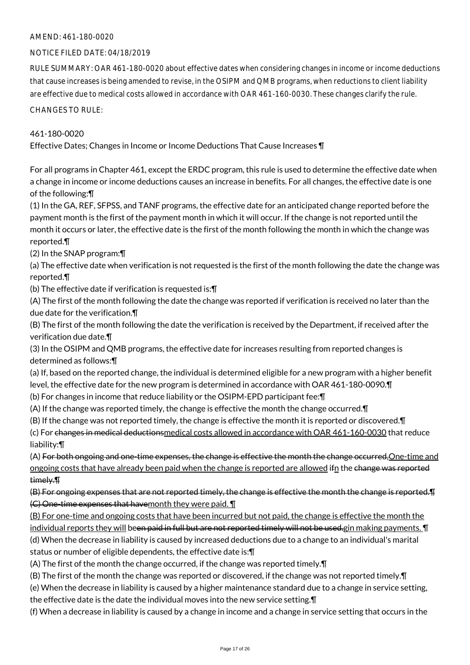## AMEND: 461-180-0020

## NOTICE FILED DATE: 04/18/2019

RULE SUMMARY: OAR 461-180-0020 about effective dates when considering changes in income or income deductions that cause increases is being amended to revise, in the OSIPM and QMB programs, when reductions to client liability are effective due to medical costs allowed in accordance with OAR 461-160-0030. These changes clarify the rule.

CHANGES TO RULE:

## 461-180-0020

Effective Dates; Changes in Income or Income Deductions That Cause Increases ¶

For all programs in Chapter 461, except the ERDC program, this rule is used to determine the effective date when a change in income or income deductions causes an increase in benefits. For all changes, the effective date is one of the following:¶

(1) In the GA, REF, SFPSS, and TANF programs, the effective date for an anticipated change reported before the payment month is the first of the payment month in which it will occur. If the change is not reported until the month it occurs or later, the effective date is the first of the month following the month in which the change was reported.¶

(2) In the SNAP program:¶

(a) The effective date when verification is not requested is the first of the month following the date the change was reported.¶

(b) The effective date if verification is requested is:¶

(A) The first of the month following the date the change was reported if verification is received no later than the due date for the verification.¶

(B) The first of the month following the date the verification is received by the Department, if received after the verification due date.¶

(3) In the OSIPM and QMB programs, the effective date for increases resulting from reported changes is determined as follows:¶

(a) If, based on the reported change, the individual is determined eligible for a new program with a higher benefit level, the effective date for the new program is determined in accordance with OAR 461-180-0090.¶

- (b) For changes in income that reduce liability or the OSIPM-EPD participant fee:¶
- (A) If the change was reported timely, the change is effective the month the change occurred.¶

(B) If the change was not reported timely, the change is effective the month it is reported or discovered.¶

(c) For changes in medical deductionsmedical costs allowed in accordance with OAR 461-160-0030 that reduce liability:¶

(A) For both ongoing and one-time expenses, the change is effective the month the change occurred,One-time and ongoing costs that have already been paid when the change is reported are allowed ifn the change was reported timely.¶

(B) For ongoing expenses that are not reported timely, the change is effective the month the change is reported.¶ (C) One-time expenses that havemonth they were paid. ¶

(B) For one-time and ongoing costs that have been incurred but not paid, the change is effective the month the individual reports they will been paid in full but are not reported timely will not be used.gin making payments. ¶ (d) When the decrease in liability is caused by increased deductions due to a change to an individual's marital status or number of eligible dependents, the effective date is:¶

(A) The first of the month the change occurred, if the change was reported timely.¶

(B) The first of the month the change was reported or discovered, if the change was not reported timely.¶

- (e) When the decrease in liability is caused by a higher maintenance standard due to a change in service setting,
- the effective date is the date the individual moves into the new service setting.¶

(f) When a decrease in liability is caused by a change in income and a change in service setting that occurs in the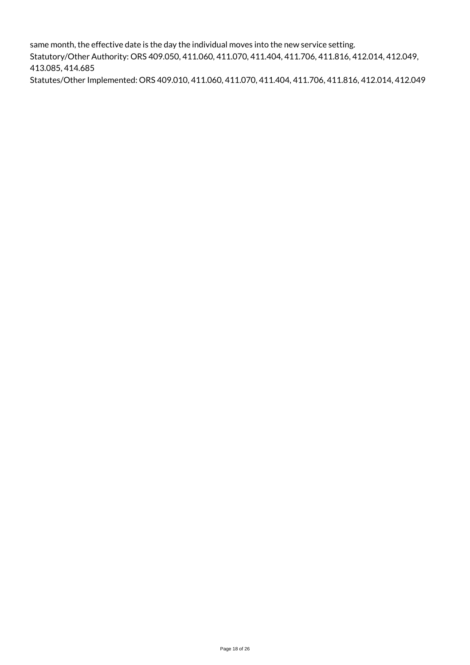same month, the effective date is the day the individual moves into the new service setting. Statutory/Other Authority: ORS 409.050, 411.060, 411.070, 411.404, 411.706, 411.816, 412.014, 412.049, 413.085, 414.685 Statutes/Other Implemented: ORS 409.010, 411.060, 411.070, 411.404, 411.706, 411.816, 412.014, 412.049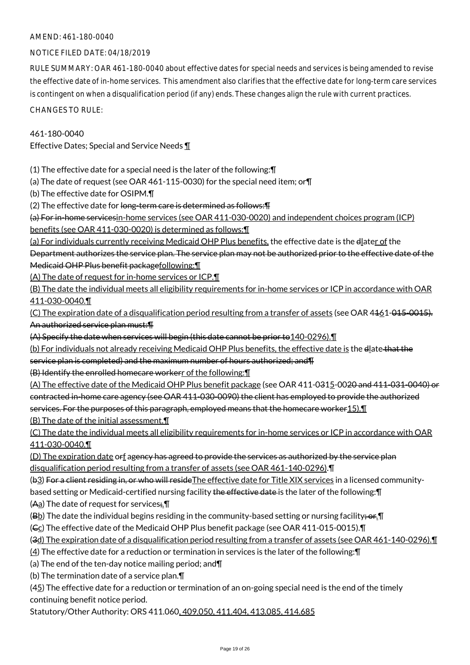## AMEND: 461-180-0040

## NOTICE FILED DATE: 04/18/2019

RULE SUMMARY: OAR 461-180-0040 about effective dates for special needs and services is being amended to revise the effective date of in-home services. This amendment also clarifies that the effective date for long-term care services is contingent on when a disqualification period (if any) ends. These changes align the rule with current practices.

CHANGES TO RULE:

## 461-180-0040

Effective Dates; Special and Service Needs ¶

(1) The effective date for a special need is the later of the following:¶

(a) The date of request (see OAR 461-115-0030) for the special need item; or¶

(b) The effective date for OSIPM.¶

(2) The effective date for long-term care is determined as follows: [4]

(a) For in-home servicesin-home services (see OAR 411-030-0020) and independent choices program (ICP) benefits (see OAR 411-030-0020) is determined as follows:¶

(a) For individuals currently receiving Medicaid OHP Plus benefits, the effective date is the dlater of the Department authorizes the service plan. The service plan may not be authorized prior to the effective date of the Medicaid OHP Plus benefit packagefollowing:¶

(A) The date of request for in-home services or ICP.¶

(B) The date the individual meets all eligibility requirements for in-home services or ICP in accordance with OAR 411-030-0040.¶

(C) The expiration date of a disqualification period resulting from a transfer of assets (see OAR 4461-015-0015). An authorized service plan must:¶

(A) Specify the date when services will begin (this date cannot be prior to 140-0296). I

(b) For individuals not already receiving Medicaid OHP Plus benefits, the effective date is the dlate that the service plan is completed) and the maximum number of hours authorized; and¶

(B) Identify the enrolled homecare workerr of the following:¶

(A) The effective date of the Medicaid OHP Plus benefit package (see OAR 411-0315-0020 and 411-031-0040) or contracted in-home care agency (see OAR 411-030-0090) the client has employed to provide the authorized services. For the purposes of this paragraph, employed means that the homecare worker 15). I (B) The date of the initial assessment.¶

(C) The date the individual meets all eligibility requirements for in-home services or ICP in accordance with OAR 411-030-0040.¶

(D) The expiration date orf agency has agreed to provide the services as authorized by the service plan disqualification period resulting from a transfer of assets (see OAR 461-140-0296).¶

(b3) For a client residing in, or who will reside The effective date for Title XIX services in a licensed communitybased setting or Medicaid-certified nursing facility the effective date is the later of the following: \[

(Aa) The date of request for services; \[

(Bb) The date the individual begins residing in the community-based setting or nursing facility;  $er.\Pi$ 

( $C<sub>C</sub>$ ) The effective date of the Medicaid OHP Plus benefit package (see OAR 411-015-0015).

(3d) The expiration date of a disqualification period resulting from a transfer of assets (see OAR 461-140-0296).¶

(4) The effective date for a reduction or termination in services is the later of the following:¶

(a) The end of the ten-day notice mailing period; and¶

(b) The termination date of a service plan.¶

(45) The effective date for a reduction or termination of an on-going special need is the end of the timely continuing benefit notice period.

Statutory/Other Authority: ORS 411.060, 409.050, 411.404, 413.085, 414.685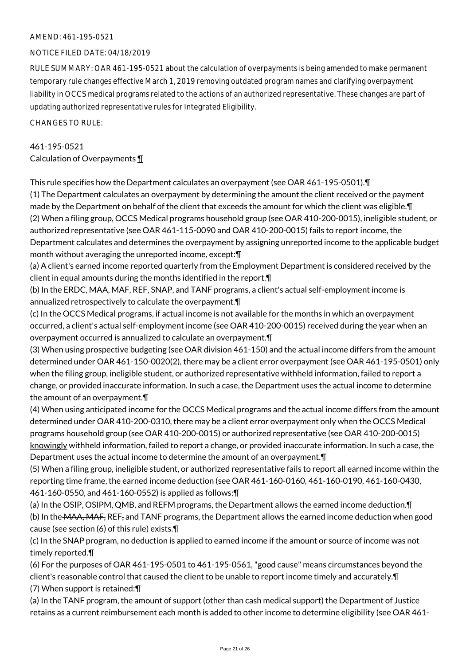## AMEND: 461-195-0521

#### NOTICE FILED DATE: 04/18/2019

RULE SUMMARY: OAR 461-195-0521 about the calculation of overpayments is being amended to make permanent temporary rule changes effective March 1, 2019 removing outdated program names and clarifying overpayment liability in OCCS medical programs related to the actions of an authorized representative. These changes are part of updating authorized representative rules for Integrated Eligibility.

CHANGES TO RULE:

# 461-195-0521 Calculation of Overpayments ¶

This rule specifies how the Department calculates an overpayment (see OAR 461-195-0501).¶

(1) The Department calculates an overpayment by determining the amount the client received or the payment made by the Department on behalf of the client that exceeds the amount for which the client was eligible.¶ (2) When a filing group, OCCS Medical programs household group (see OAR 410-200-0015), ineligible student, or authorized representative (see OAR 461-115-0090 and OAR 410-200-0015) fails to report income, the Department calculates and determines the overpayment by assigning unreported income to the applicable budget month without averaging the unreported income, except:¶

(a) A client's earned income reported quarterly from the Employment Department is considered received by the client in equal amounts during the months identified in the report.¶

(b) In the ERDC, MAA, MAF, REF, SNAP, and TANF programs, a client's actual self-employment income is annualized retrospectively to calculate the overpayment.¶

(c) In the OCCS Medical programs, if actual income is not available for the months in which an overpayment occurred, a client's actual self-employment income (see OAR 410-200-0015) received during the year when an overpayment occurred is annualized to calculate an overpayment.¶

(3) When using prospective budgeting (see OAR division 461-150) and the actual income differs from the amount determined under OAR 461-150-0020(2), there may be a client error overpayment (see OAR 461-195-0501) only when the filing group, ineligible student, or authorized representative withheld information, failed to report a change, or provided inaccurate information. In such a case, the Department uses the actual income to determine the amount of an overpayment.¶

(4) When using anticipated income for the OCCS Medical programs and the actual income differs from the amount determined under OAR 410-200-0310, there may be a client error overpayment only when the OCCS Medical programs household group (see OAR 410-200-0015) or authorized representative (see OAR 410-200-0015) knowingly withheld information, failed to report a change, or provided inaccurate information. In such a case, the Department uses the actual income to determine the amount of an overpayment.¶

(5) When a filing group, ineligible student, or authorized representative fails to report all earned income within the reporting time frame, the earned income deduction (see OAR 461-160-0160, 461-160-0190, 461-160-0430, 461-160-0550, and 461-160-0552) is applied as follows:¶

(a) In the OSIP, OSIPM, QMB, and REFM programs, the Department allows the earned income deduction.¶ (b) In the MAA, MAF, REF, and TANF programs, the Department allows the earned income deduction when good cause (see section (6) of this rule) exists.¶

(c) In the SNAP program, no deduction is applied to earned income if the amount or source of income was not timely reported.¶

(6) For the purposes of OAR 461-195-0501 to 461-195-0561, "good cause" means circumstances beyond the client's reasonable control that caused the client to be unable to report income timely and accurately.¶ (7) When support is retained:¶

(a) In the TANF program, the amount of support (other than cash medical support) the Department of Justice retains as a current reimbursement each month is added to other income to determine eligibility (see OAR 461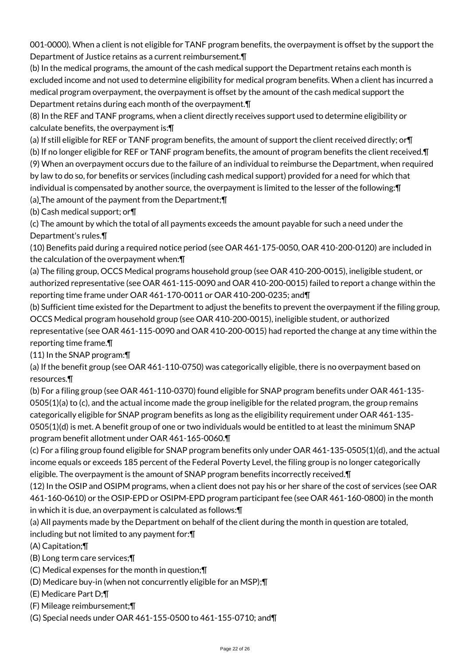001-0000). When a client is not eligible for TANF program benefits, the overpayment is offset by the support the Department of Justice retains as a current reimbursement.¶

(b) In the medical programs, the amount of the cash medical support the Department retains each month is excluded income and not used to determine eligibility for medical program benefits. When a client has incurred a medical program overpayment, the overpayment is offset by the amount of the cash medical support the Department retains during each month of the overpayment.¶

(8) In the REF and TANF programs, when a client directly receives support used to determine eligibility or calculate benefits, the overpayment is:¶

(a) If still eligible for REF or TANF program benefits, the amount of support the client received directly; or¶

(b) If no longer eligible for REF or TANF program benefits, the amount of program benefits the client received.¶ (9) When an overpayment occurs due to the failure of an individual to reimburse the Department, when required by law to do so, for benefits or services (including cash medical support) provided for a need for which that

individual is compensated by another source, the overpayment is limited to the lesser of the following:¶ (a) The amount of the payment from the Department;¶

(b) Cash medical support; or¶

(c) The amount by which the total of all payments exceeds the amount payable for such a need under the Department's rules.¶

(10) Benefits paid during a required notice period (see OAR 461-175-0050, OAR 410-200-0120) are included in the calculation of the overpayment when:¶

(a) The filing group, OCCS Medical programs household group (see OAR 410-200-0015), ineligible student, or authorized representative (see OAR 461-115-0090 and OAR 410-200-0015) failed to report a change within the reporting time frame under OAR 461-170-0011 or OAR 410-200-0235; and¶

(b) Sufficient time existed for the Department to adjust the benefits to prevent the overpayment if the filing group, OCCS Medical program household group (see OAR 410-200-0015), ineligible student, or authorized

representative (see OAR 461-115-0090 and OAR 410-200-0015) had reported the change at any time within the reporting time frame.¶

(11) In the SNAP program:¶

(a) If the benefit group (see OAR 461-110-0750) was categorically eligible, there is no overpayment based on resources.¶

(b) For a filing group (see OAR 461-110-0370) found eligible for SNAP program benefits under OAR 461-135- 0505(1)(a) to (c), and the actual income made the group ineligible for the related program, the group remains categorically eligible for SNAP program benefits as long as the eligibility requirement under OAR 461-135- 0505(1)(d) is met. A benefit group of one or two individuals would be entitled to at least the minimum SNAP program benefit allotment under OAR 461-165-0060.¶

(c) For a filing group found eligible for SNAP program benefits only under OAR 461-135-0505(1)(d), and the actual income equals or exceeds 185 percent of the Federal Poverty Level, the filing group is no longer categorically eligible. The overpayment is the amount of SNAP program benefits incorrectly received.¶

(12) In the OSIP and OSIPM programs, when a client does not pay his or her share of the cost of services (see OAR 461-160-0610) or the OSIP-EPD or OSIPM-EPD program participant fee (see OAR 461-160-0800) in the month in which it is due, an overpayment is calculated as follows:¶

(a) All payments made by the Department on behalf of the client during the month in question are totaled, including but not limited to any payment for:¶

(A) Capitation;¶

(B) Long term care services;¶

(C) Medical expenses for the month in question;¶

(D) Medicare buy-in (when not concurrently eligible for an MSP);¶

(E) Medicare Part D;¶

(F) Mileage reimbursement;¶

(G) Special needs under OAR 461-155-0500 to 461-155-0710; and¶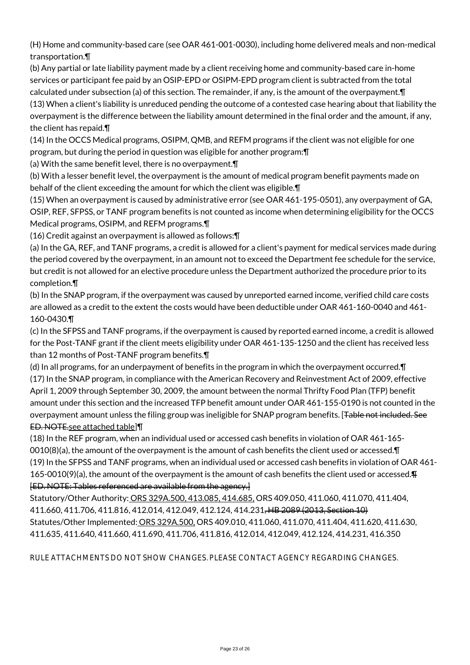(H) Home and community-based care (see OAR 461-001-0030), including home delivered meals and non-medical transportation.¶

(b) Any partial or late liability payment made by a client receiving home and community-based care in-home services or participant fee paid by an OSIP-EPD or OSIPM-EPD program client is subtracted from the total calculated under subsection (a) of this section. The remainder, if any, is the amount of the overpayment.¶ (13) When a client's liability is unreduced pending the outcome of a contested case hearing about that liability the overpayment is the difference between the liability amount determined in the final order and the amount, if any, the client has repaid.¶

(14) In the OCCS Medical programs, OSIPM, QMB, and REFM programs if the client was not eligible for one program, but during the period in question was eligible for another program:¶

(a) With the same benefit level, there is no overpayment.¶

(b) With a lesser benefit level, the overpayment is the amount of medical program benefit payments made on behalf of the client exceeding the amount for which the client was eligible.¶

(15) When an overpayment is caused by administrative error (see OAR 461-195-0501), any overpayment of GA, OSIP, REF, SFPSS, or TANF program benefits is not counted as income when determining eligibility for the OCCS Medical programs, OSIPM, and REFM programs.¶

(16) Credit against an overpayment is allowed as follows:¶

(a) In the GA, REF, and TANF programs, a credit is allowed for a client's payment for medical services made during the period covered by the overpayment, in an amount not to exceed the Department fee schedule for the service, but credit is not allowed for an elective procedure unless the Department authorized the procedure prior to its completion.¶

(b) In the SNAP program, if the overpayment was caused by unreported earned income, verified child care costs are allowed as a credit to the extent the costs would have been deductible under OAR 461-160-0040 and 461- 160-0430.¶

(c) In the SFPSS and TANF programs, if the overpayment is caused by reported earned income, a credit is allowed for the Post-TANF grant if the client meets eligibility under OAR 461-135-1250 and the client has received less than 12 months of Post-TANF program benefits.¶

(d) In all programs, for an underpayment of benefits in the program in which the overpayment occurred.¶ (17) In the SNAP program, in compliance with the American Recovery and Reinvestment Act of 2009, effective April 1, 2009 through September 30, 2009, the amount between the normal Thrifty Food Plan (TFP) benefit amount under this section and the increased TFP benefit amount under OAR 461-155-0190 is not counted in the overpayment amount unless the filing group was ineligible for SNAP program benefits. [Table not included. See ED. NOTE.see attached table]¶

(18) In the REF program, when an individual used or accessed cash benefits in violation of OAR 461-165- 0010(8)(a), the amount of the overpayment is the amount of cash benefits the client used or accessed.¶ (19) In the SFPSS and TANF programs, when an individual used or accessed cash benefits in violation of OAR 461- 165-0010(9)(a), the amount of the overpayment is the amount of cash benefits the client used or accessed.¶ [ED. NOTE: Tables referenced are available from the agency.]

Statutory/Other Authority: ORS 329A.500, 413.085, 414.685, ORS 409.050, 411.060, 411.070, 411.404, 411.660, 411.706, 411.816, 412.014, 412.049, 412.124, 414.231, HB 2089 (2013, Section 10) Statutes/Other Implemented: ORS 329A.500, ORS 409.010, 411.060, 411.070, 411.404, 411.620, 411.630, 411.635, 411.640, 411.660, 411.690, 411.706, 411.816, 412.014, 412.049, 412.124, 414.231, 416.350

RULE ATTACHMENTS DO NOT SHOW CHANGES. PLEASE CONTACT AGENCY REGARDING CHANGES.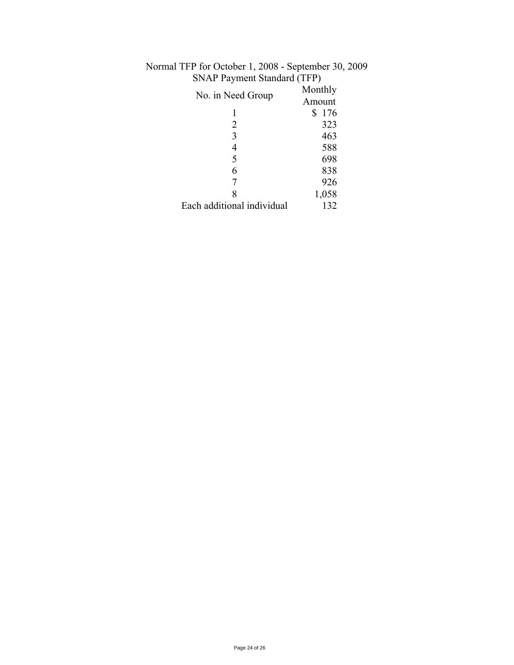| $51.11$ $1.4$ , $1.1$ , $1.1$ , $1.1$ , $1.1$ |                   |
|-----------------------------------------------|-------------------|
| No. in Need Group                             | Monthly<br>Amount |
|                                               | 176<br>S          |
| 2                                             | 323               |
| 3                                             | 463               |
| 4                                             | 588               |
| 5                                             | 698               |
| 6                                             | 838               |
|                                               | 926               |
| 8                                             | 1,058             |
| Each additional individual                    | 132               |

# Normal TFP for October 1, 2008 - September 30, 2009 SNAP Payment Standard (TFP)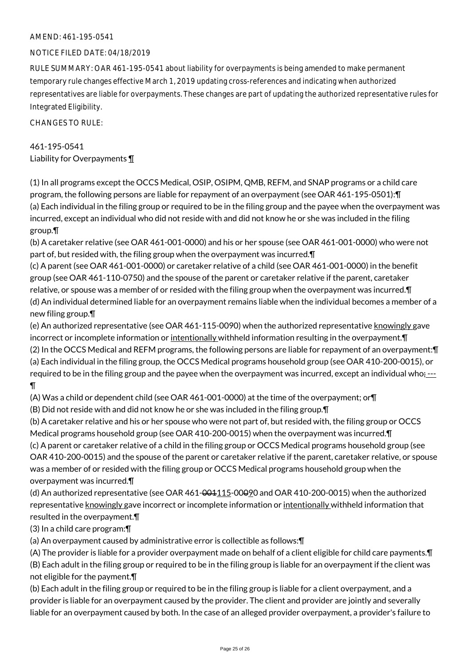## AMEND: 461-195-0541

## NOTICE FILED DATE: 04/18/2019

RULE SUMMARY: OAR 461-195-0541 about liability for overpayments is being amended to make permanent temporary rule changes effective March 1, 2019 updating cross-references and indicating when authorized representatives are liable for overpayments. These changes are part of updating the authorized representative rules for Integrated Eligibility.

CHANGES TO RULE:

# 461-195-0541 Liability for Overpayments ¶

(1) In all programs except the OCCS Medical, OSIP, OSIPM, QMB, REFM, and SNAP programs or a child care program, the following persons are liable for repayment of an overpayment (see OAR 461-195-0501):¶ (a) Each individual in the filing group or required to be in the filing group and the payee when the overpayment was incurred, except an individual who did not reside with and did not know he or she was included in the filing group.¶

(b) A caretaker relative (see OAR 461-001-0000) and his or her spouse (see OAR 461-001-0000) who were not part of, but resided with, the filing group when the overpayment was incurred.¶

(c) A parent (see OAR 461-001-0000) or caretaker relative of a child (see OAR 461-001-0000) in the benefit group (see OAR 461-110-0750) and the spouse of the parent or caretaker relative if the parent, caretaker relative, or spouse was a member of or resided with the filing group when the overpayment was incurred.¶ (d) An individual determined liable for an overpayment remains liable when the individual becomes a member of a new filing group.¶

(e) An authorized representative (see OAR 461-115-0090) when the authorized representative knowingly gave incorrect or incomplete information or intentionally withheld information resulting in the overpayment.¶ (2) In the OCCS Medical and REFM programs, the following persons are liable for repayment of an overpayment:¶ (a) Each individual in the filing group, the OCCS Medical programs household group (see OAR 410-200-0015), or required to be in the filing group and the payee when the overpayment was incurred, except an individual who $: -1$ ¶

(A) Was a child or dependent child (see OAR 461-001-0000) at the time of the overpayment; or¶

(B) Did not reside with and did not know he or she was included in the filing group.¶

(b) A caretaker relative and his or her spouse who were not part of, but resided with, the filing group or OCCS Medical programs household group (see OAR 410-200-0015) when the overpayment was incurred.¶

(c) A parent or caretaker relative of a child in the filing group or OCCS Medical programs household group (see OAR 410-200-0015) and the spouse of the parent or caretaker relative if the parent, caretaker relative, or spouse was a member of or resided with the filing group or OCCS Medical programs household group when the overpayment was incurred.¶

(d) An authorized representative (see OAR  $461-001115-00090$  and OAR 410-200-0015) when the authorized representative knowingly gave incorrect or incomplete information or intentionally withheld information that resulted in the overpayment.¶

(3) In a child care program:¶

(a) An overpayment caused by administrative error is collectible as follows:¶

(A) The provider is liable for a provider overpayment made on behalf of a client eligible for child care payments.¶ (B) Each adult in the filing group or required to be in the filing group is liable for an overpayment if the client was not eligible for the payment.¶

(b) Each adult in the filing group or required to be in the filing group is liable for a client overpayment, and a provider is liable for an overpayment caused by the provider. The client and provider are jointly and severally liable for an overpayment caused by both. In the case of an alleged provider overpayment, a provider's failure to